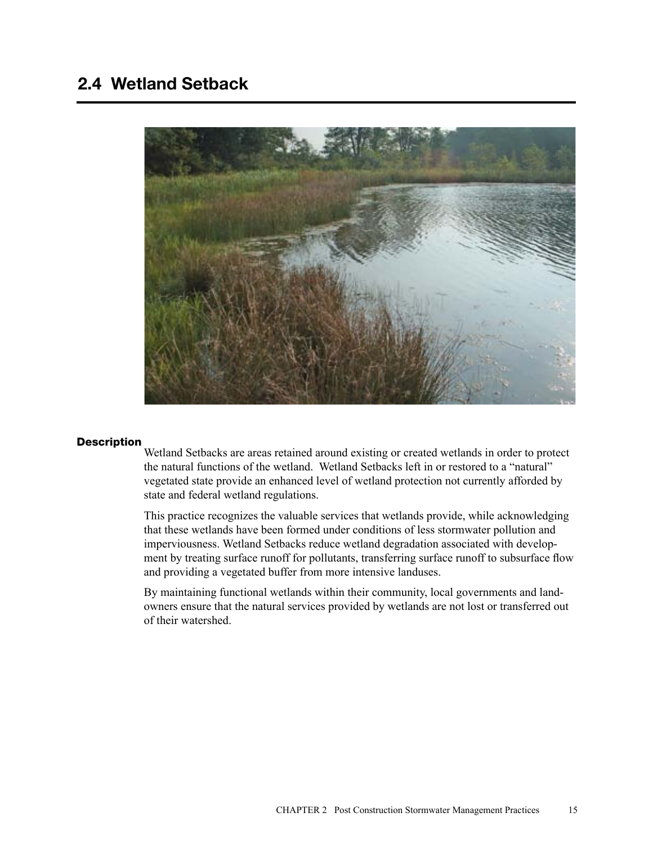# 2.4 Wetland Setback



#### **Description**

Wetland Setbacks are areas retained around existing or created wetlands in order to protect the natural functions of the wetland. Wetland Setbacks left in or restored to a "natural" vegetated state provide an enhanced level of wetland protection not currently afforded by state and federal wetland regulations.

This practice recognizes the valuable services that wetlands provide, while acknowledging that these wetlands have been formed under conditions of less stormwater pollution and imperviousness. Wetland Setbacks reduce wetland degradation associated with development by treating surface runoff for pollutants, transferring surface runoff to subsurface flow and providing a vegetated buffer from more intensive landuses.

By maintaining functional wetlands within their community, local governments and landowners ensure that the natural services provided by wetlands are not lost or transferred out of their watershed.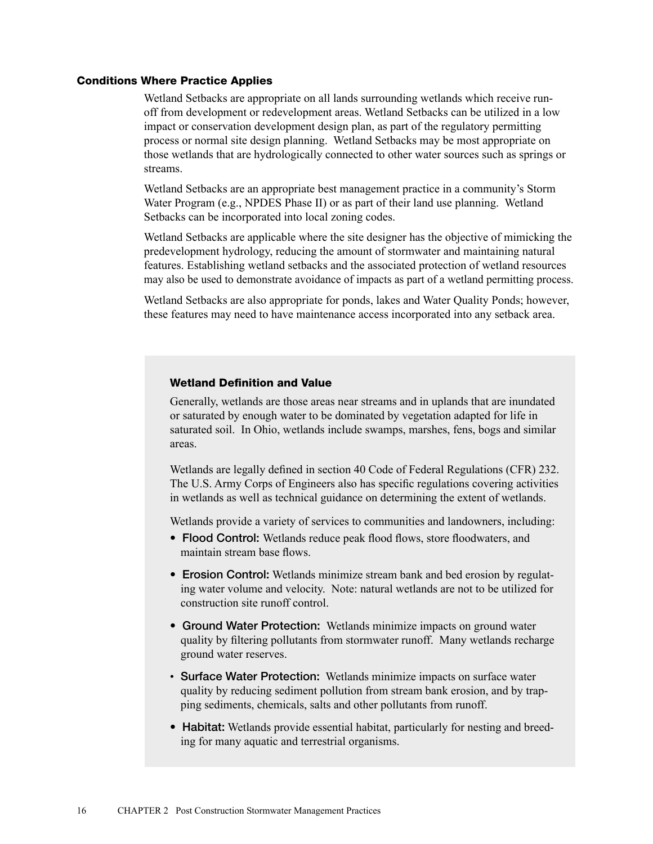#### Conditions Where Practice Applies

Wetland Setbacks are appropriate on all lands surrounding wetlands which receive runoff from development or redevelopment areas. Wetland Setbacks can be utilized in a low impact or conservation development design plan, as part of the regulatory permitting process or normal site design planning. Wetland Setbacks may be most appropriate on those wetlands that are hydrologically connected to other water sources such as springs or streams.

Wetland Setbacks are an appropriate best management practice in a community's Storm Water Program (e.g., NPDES Phase II) or as part of their land use planning. Wetland Setbacks can be incorporated into local zoning codes.

Wetland Setbacks are applicable where the site designer has the objective of mimicking the predevelopment hydrology, reducing the amount of stormwater and maintaining natural features. Establishing wetland setbacks and the associated protection of wetland resources may also be used to demonstrate avoidance of impacts as part of a wetland permitting process.

Wetland Setbacks are also appropriate for ponds, lakes and Water Quality Ponds; however, these features may need to have maintenance access incorporated into any setback area.

#### Wetland Definition and Value

Generally, wetlands are those areas near streams and in uplands that are inundated or saturated by enough water to be dominated by vegetation adapted for life in saturated soil. In Ohio, wetlands include swamps, marshes, fens, bogs and similar areas.

Wetlands are legally defined in section 40 Code of Federal Regulations (CFR) 232. The U.S. Army Corps of Engineers also has specific regulations covering activities in wetlands as well as technical guidance on determining the extent of wetlands.

Wetlands provide a variety of services to communities and landowners, including:

- Flood Control: Wetlands reduce peak flood flows, store floodwaters, and maintain stream base flows.
- Erosion Control: Wetlands minimize stream bank and bed erosion by regulating water volume and velocity. Note: natural wetlands are not to be utilized for construction site runoff control.
- Ground Water Protection: Wetlands minimize impacts on ground water quality by filtering pollutants from stormwater runoff. Many wetlands recharge ground water reserves.
- Surface Water Protection: Wetlands minimize impacts on surface water quality by reducing sediment pollution from stream bank erosion, and by trapping sediments, chemicals, salts and other pollutants from runoff.
- Habitat: Wetlands provide essential habitat, particularly for nesting and breeding for many aquatic and terrestrial organisms.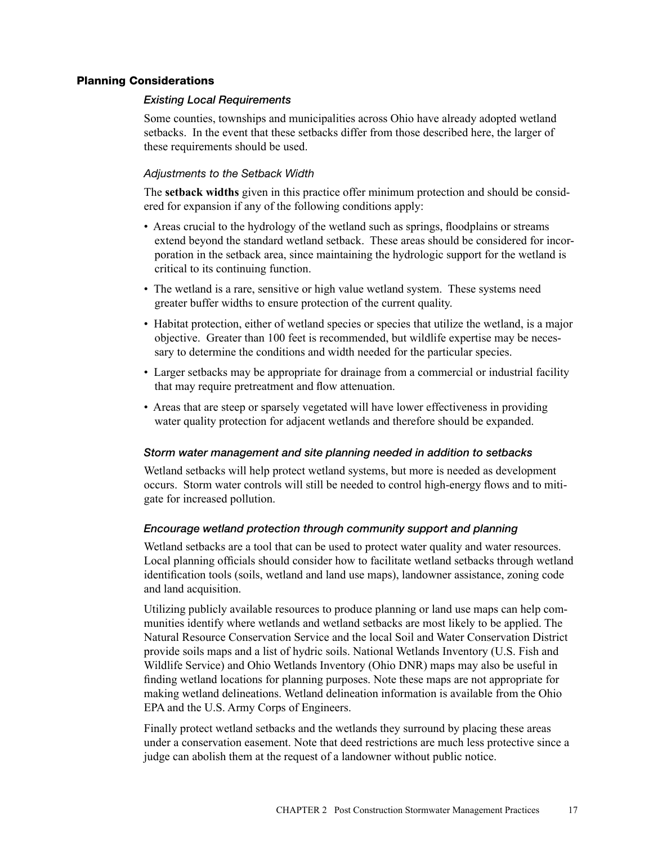# Planning Considerations

# *Existing Local Requirements*

Some counties, townships and municipalities across Ohio have already adopted wetland setbacks. In the event that these setbacks differ from those described here, the larger of these requirements should be used.

# *Adjustments to the Setback Width*

The **setback widths** given in this practice offer minimum protection and should be considered for expansion if any of the following conditions apply:

- Areas crucial to the hydrology of the wetland such as springs, floodplains or streams extend beyond the standard wetland setback. These areas should be considered for incorporation in the setback area, since maintaining the hydrologic support for the wetland is critical to its continuing function.
- The wetland is a rare, sensitive or high value wetland system. These systems need greater buffer widths to ensure protection of the current quality.
- Habitat protection, either of wetland species or species that utilize the wetland, is a major objective. Greater than 100 feet is recommended, but wildlife expertise may be necessary to determine the conditions and width needed for the particular species.
- Larger setbacks may be appropriate for drainage from a commercial or industrial facility that may require pretreatment and flow attenuation.
- Areas that are steep or sparsely vegetated will have lower effectiveness in providing water quality protection for adjacent wetlands and therefore should be expanded.

## *Storm water management and site planning needed in addition to setbacks*

Wetland setbacks will help protect wetland systems, but more is needed as development occurs. Storm water controls will still be needed to control high-energy flows and to mitigate for increased pollution.

## *Encourage wetland protection through community support and planning*

Wetland setbacks are a tool that can be used to protect water quality and water resources. Local planning officials should consider how to facilitate wetland setbacks through wetland identification tools (soils, wetland and land use maps), landowner assistance, zoning code and land acquisition.

Utilizing publicly available resources to produce planning or land use maps can help communities identify where wetlands and wetland setbacks are most likely to be applied. The Natural Resource Conservation Service and the local Soil and Water Conservation District provide soils maps and a list of hydric soils. National Wetlands Inventory (U.S. Fish and Wildlife Service) and Ohio Wetlands Inventory (Ohio DNR) maps may also be useful in finding wetland locations for planning purposes. Note these maps are not appropriate for making wetland delineations. Wetland delineation information is available from the Ohio EPA and the U.S. Army Corps of Engineers.

Finally protect wetland setbacks and the wetlands they surround by placing these areas under a conservation easement. Note that deed restrictions are much less protective since a judge can abolish them at the request of a landowner without public notice.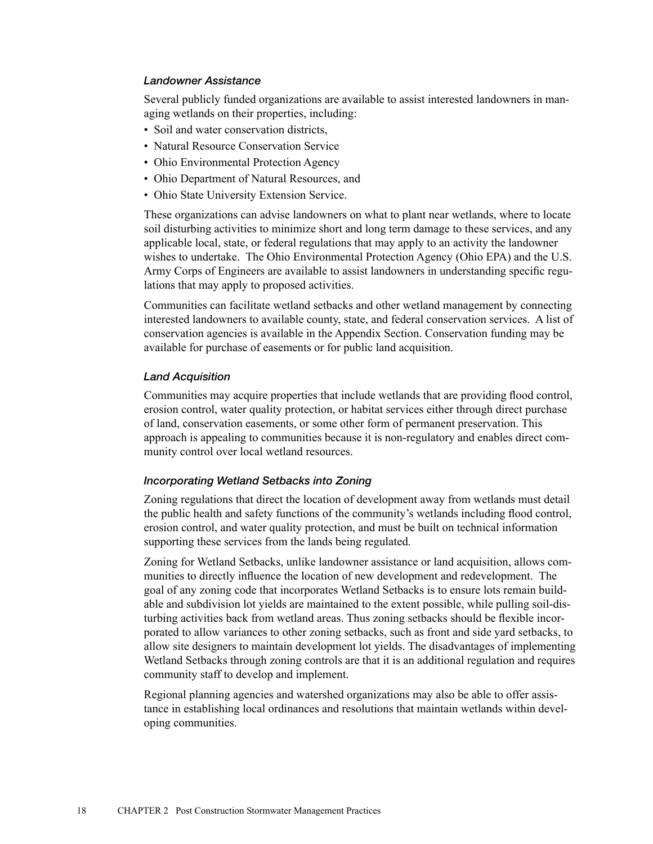## *Landowner Assistance*

Several publicly funded organizations are available to assist interested landowners in managing wetlands on their properties, including:

- Soil and water conservation districts,
- Natural Resource Conservation Service
- Ohio Environmental Protection Agency
- Ohio Department of Natural Resources, and
- Ohio State University Extension Service.

These organizations can advise landowners on what to plant near wetlands, where to locate soil disturbing activities to minimize short and long term damage to these services, and any applicable local, state, or federal regulations that may apply to an activity the landowner wishes to undertake. The Ohio Environmental Protection Agency (Ohio EPA) and the U.S. Army Corps of Engineers are available to assist landowners in understanding specific regulations that may apply to proposed activities.

Communities can facilitate wetland setbacks and other wetland management by connecting interested landowners to available county, state, and federal conservation services. A list of conservation agencies is available in the Appendix Section. Conservation funding may be available for purchase of easements or for public land acquisition.

#### *Land Acquisition*

Communities may acquire properties that include wetlands that are providing flood control, erosion control, water quality protection, or habitat services either through direct purchase of land, conservation easements, or some other form of permanent preservation. This approach is appealing to communities because it is non-regulatory and enables direct community control over local wetland resources.

#### *Incorporating Wetland Setbacks into Zoning*

Zoning regulations that direct the location of development away from wetlands must detail the public health and safety functions of the community's wetlands including flood control, erosion control, and water quality protection, and must be built on technical information supporting these services from the lands being regulated.

Zoning for Wetland Setbacks, unlike landowner assistance or land acquisition, allows communities to directly influence the location of new development and redevelopment. The goal of any zoning code that incorporates Wetland Setbacks is to ensure lots remain buildable and subdivision lot yields are maintained to the extent possible, while pulling soil-disturbing activities back from wetland areas. Thus zoning setbacks should be flexible incorporated to allow variances to other zoning setbacks, such as front and side yard setbacks, to allow site designers to maintain development lot yields. The disadvantages of implementing Wetland Setbacks through zoning controls are that it is an additional regulation and requires community staff to develop and implement.

Regional planning agencies and watershed organizations may also be able to offer assistance in establishing local ordinances and resolutions that maintain wetlands within developing communities.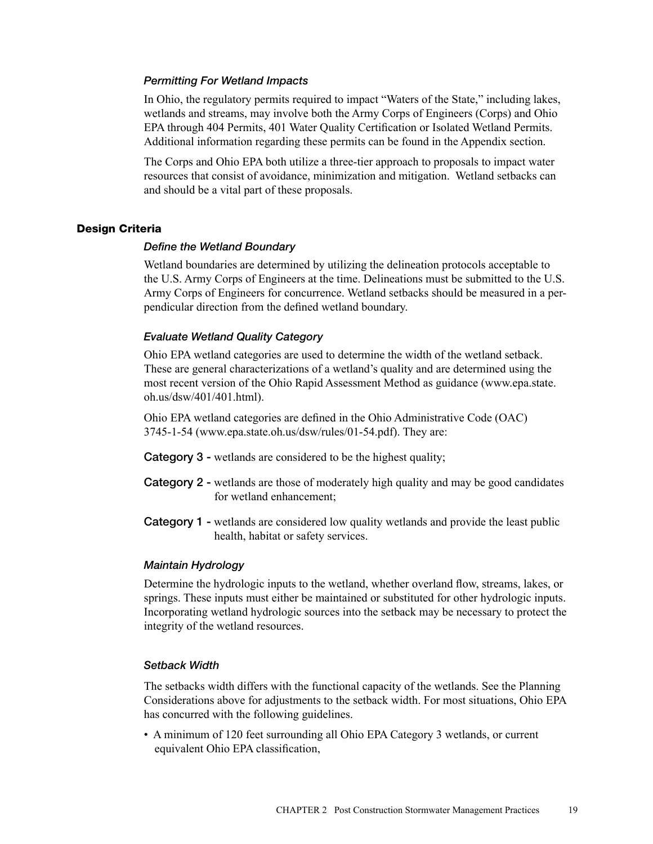## *Permitting For Wetland Impacts*

In Ohio, the regulatory permits required to impact "Waters of the State," including lakes, wetlands and streams, may involve both the Army Corps of Engineers (Corps) and Ohio EPA through 404 Permits, 401 Water Quality Certification or Isolated Wetland Permits. Additional information regarding these permits can be found in the Appendix section.

The Corps and Ohio EPA both utilize a three-tier approach to proposals to impact water resources that consist of avoidance, minimization and mitigation. Wetland setbacks can and should be a vital part of these proposals.

#### Design Criteria

#### *Define the Wetland Boundary*

Wetland boundaries are determined by utilizing the delineation protocols acceptable to the U.S. Army Corps of Engineers at the time. Delineations must be submitted to the U.S. Army Corps of Engineers for concurrence. Wetland setbacks should be measured in a perpendicular direction from the defined wetland boundary.

# *Evaluate Wetland Quality Category*

Ohio EPA wetland categories are used to determine the width of the wetland setback. These are general characterizations of a wetland's quality and are determined using the most recent version of the Ohio Rapid Assessment Method as guidance (www.epa.state. oh.us/dsw/401/401.html).

Ohio EPA wetland categories are defined in the Ohio Administrative Code (OAC) 3745-1-54 (www.epa.state.oh.us/dsw/rules/01-54.pdf). They are:

- Category 3 wetlands are considered to be the highest quality;
- Category 2 wetlands are those of moderately high quality and may be good candidates for wetland enhancement;
- Category 1 wetlands are considered low quality wetlands and provide the least public health, habitat or safety services.

#### *Maintain Hydrology*

Determine the hydrologic inputs to the wetland, whether overland flow, streams, lakes, or springs. These inputs must either be maintained or substituted for other hydrologic inputs. Incorporating wetland hydrologic sources into the setback may be necessary to protect the integrity of the wetland resources.

#### *Setback Width*

The setbacks width differs with the functional capacity of the wetlands. See the Planning Considerations above for adjustments to the setback width. For most situations, Ohio EPA has concurred with the following guidelines.

• A minimum of 120 feet surrounding all Ohio EPA Category 3 wetlands, or current equivalent Ohio EPA classification,